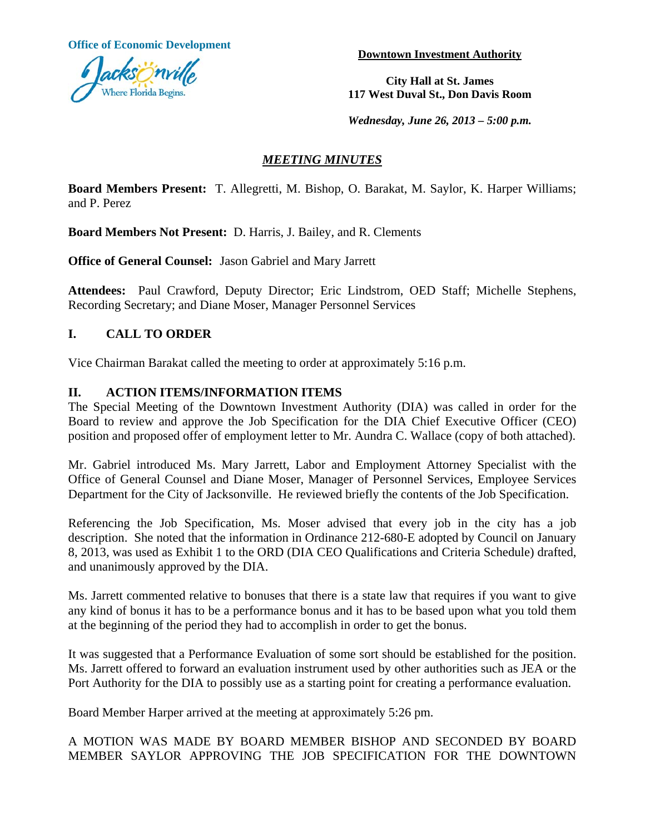**Office of Economic Development Development Downtown Investment Authority** 



**City Hall at St. James 117 West Duval St., Don Davis Room**

*Wednesday, June 26, 2013 – 5:00 p.m.* 

# *MEETING MINUTES*

**Board Members Present:** T. Allegretti, M. Bishop, O. Barakat, M. Saylor, K. Harper Williams; and P. Perez

**Board Members Not Present:** D. Harris, J. Bailey, and R. Clements

**Office of General Counsel:** Jason Gabriel and Mary Jarrett

**Attendees:** Paul Crawford, Deputy Director; Eric Lindstrom, OED Staff; Michelle Stephens, Recording Secretary; and Diane Moser, Manager Personnel Services

# **I. CALL TO ORDER**

Vice Chairman Barakat called the meeting to order at approximately 5:16 p.m.

### **II. ACTION ITEMS/INFORMATION ITEMS**

The Special Meeting of the Downtown Investment Authority (DIA) was called in order for the Board to review and approve the Job Specification for the DIA Chief Executive Officer (CEO) position and proposed offer of employment letter to Mr. Aundra C. Wallace (copy of both attached).

Mr. Gabriel introduced Ms. Mary Jarrett, Labor and Employment Attorney Specialist with the Office of General Counsel and Diane Moser, Manager of Personnel Services, Employee Services Department for the City of Jacksonville. He reviewed briefly the contents of the Job Specification.

Referencing the Job Specification, Ms. Moser advised that every job in the city has a job description. She noted that the information in Ordinance 212-680-E adopted by Council on January 8, 2013, was used as Exhibit 1 to the ORD (DIA CEO Qualifications and Criteria Schedule) drafted, and unanimously approved by the DIA.

Ms. Jarrett commented relative to bonuses that there is a state law that requires if you want to give any kind of bonus it has to be a performance bonus and it has to be based upon what you told them at the beginning of the period they had to accomplish in order to get the bonus.

It was suggested that a Performance Evaluation of some sort should be established for the position. Ms. Jarrett offered to forward an evaluation instrument used by other authorities such as JEA or the Port Authority for the DIA to possibly use as a starting point for creating a performance evaluation.

Board Member Harper arrived at the meeting at approximately 5:26 pm.

A MOTION WAS MADE BY BOARD MEMBER BISHOP AND SECONDED BY BOARD MEMBER SAYLOR APPROVING THE JOB SPECIFICATION FOR THE DOWNTOWN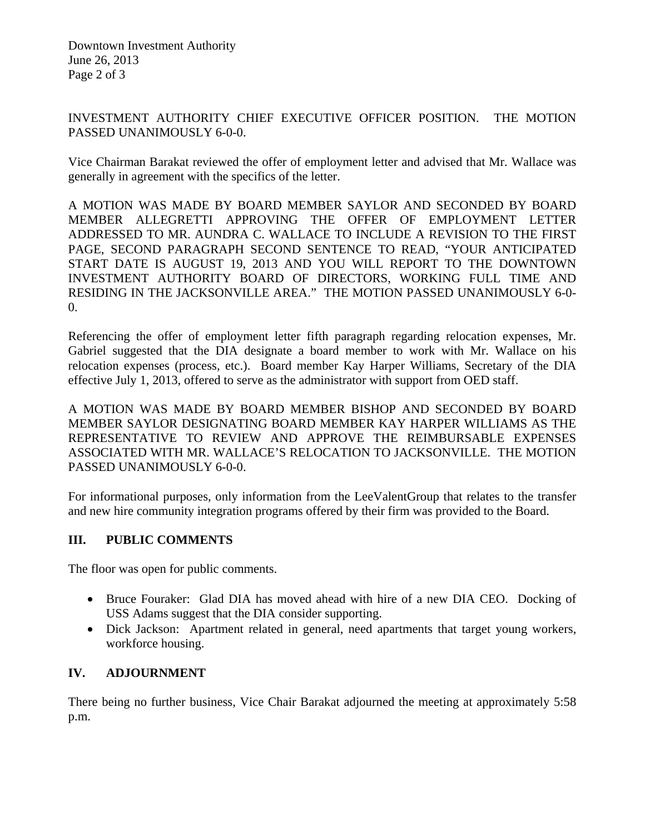Downtown Investment Authority June 26, 2013 Page 2 of 3

INVESTMENT AUTHORITY CHIEF EXECUTIVE OFFICER POSITION. THE MOTION PASSED UNANIMOUSLY 6-0-0.

Vice Chairman Barakat reviewed the offer of employment letter and advised that Mr. Wallace was generally in agreement with the specifics of the letter.

A MOTION WAS MADE BY BOARD MEMBER SAYLOR AND SECONDED BY BOARD MEMBER ALLEGRETTI APPROVING THE OFFER OF EMPLOYMENT LETTER ADDRESSED TO MR. AUNDRA C. WALLACE TO INCLUDE A REVISION TO THE FIRST PAGE, SECOND PARAGRAPH SECOND SENTENCE TO READ, "YOUR ANTICIPATED START DATE IS AUGUST 19, 2013 AND YOU WILL REPORT TO THE DOWNTOWN INVESTMENT AUTHORITY BOARD OF DIRECTORS, WORKING FULL TIME AND RESIDING IN THE JACKSONVILLE AREA." THE MOTION PASSED UNANIMOUSLY 6-0- 0.

Referencing the offer of employment letter fifth paragraph regarding relocation expenses, Mr. Gabriel suggested that the DIA designate a board member to work with Mr. Wallace on his relocation expenses (process, etc.). Board member Kay Harper Williams, Secretary of the DIA effective July 1, 2013, offered to serve as the administrator with support from OED staff.

A MOTION WAS MADE BY BOARD MEMBER BISHOP AND SECONDED BY BOARD MEMBER SAYLOR DESIGNATING BOARD MEMBER KAY HARPER WILLIAMS AS THE REPRESENTATIVE TO REVIEW AND APPROVE THE REIMBURSABLE EXPENSES ASSOCIATED WITH MR. WALLACE'S RELOCATION TO JACKSONVILLE. THE MOTION PASSED UNANIMOUSLY 6-0-0.

For informational purposes, only information from the LeeValentGroup that relates to the transfer and new hire community integration programs offered by their firm was provided to the Board.

### **III. PUBLIC COMMENTS**

The floor was open for public comments.

- Bruce Fouraker: Glad DIA has moved ahead with hire of a new DIA CEO. Docking of USS Adams suggest that the DIA consider supporting.
- Dick Jackson: Apartment related in general, need apartments that target young workers, workforce housing.

# **IV. ADJOURNMENT**

There being no further business, Vice Chair Barakat adjourned the meeting at approximately 5:58 p.m.